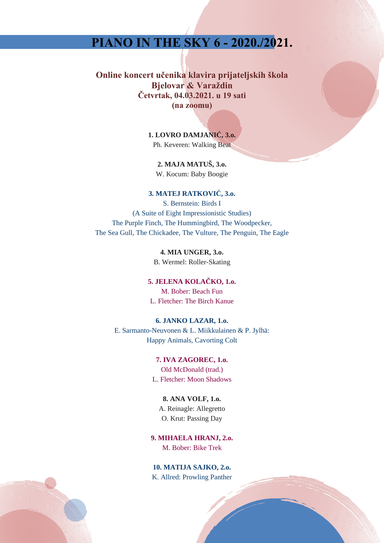# **PIANO IN THE SKY 6 - 2020./2021.**

**Online koncert učenika klavira prijateljskih škola Bjelovar & Varaždin Četvrtak, 04.03.2021. u 19 sati (na zoomu)**

> **1. LOVRO DAMJANIĆ, 3.o.** Ph. Keveren: Walking Beat

**2. MAJA MATUŠ, 3.o.** W. Kocum: Baby Boogie

### **3. MATEJ RATKOVIĆ, 3.o.**

S. Bernstein: Birds I (A Suite of Eight Impressionistic Studies) The Purple Finch, The Hummingbird, The Woodpecker, The Sea Gull, The Chickadee, The Vulture, The Penguin, The Eagle

> **4. MIA UNGER, 3.o.** B. Wermel: Roller-Skating

**5. JELENA KOLAČKO, 1.o.** M. Bober: Beach Fun L. Fletcher: The Birch Kanue

### **6. JANKO LAZAR, 1.o.**

E. Sarmanto-Neuvonen & L. Miikkulainen & P. Jylhä: Happy Animals, Cavorting Colt

> **7. IVA ZAGOREC, 1.o.** Old McDonald (trad.) L. Fletcher: Moon Shadows

**8. ANA VOLF, 1.o.** A. Reinagle: Allegretto O. Krut: Passing Day

**9. MIHAELA HRANJ, 2.o.** M. Bober: Bike Trek

**10. MATIJA SAJKO, 2.o.** K. Allred: Prowling Panther